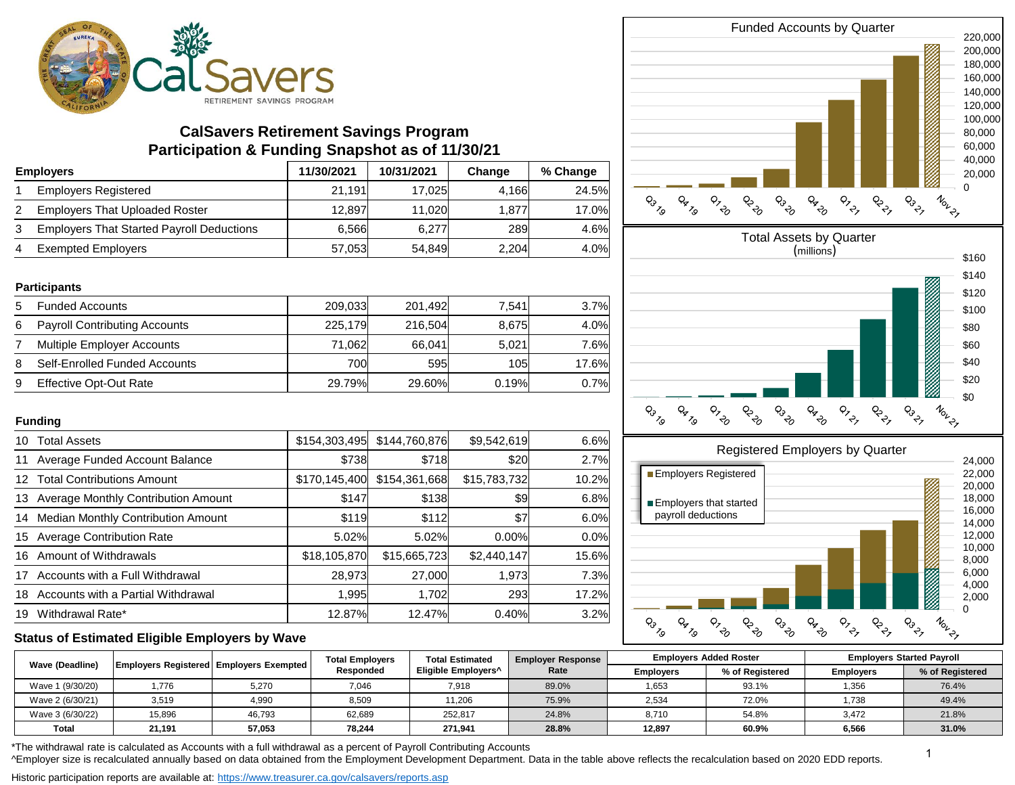

# **CalSavers Retirement Savings Program Participation & Funding Snapshot as of 11/30/21**

| <b>Employers</b> |                                                  | 11/30/2021 | 10/31/2021 | Change     | % Change |
|------------------|--------------------------------------------------|------------|------------|------------|----------|
|                  | <b>Employers Registered</b>                      | 21.191     | 17.025     | 4.166      | 24.5%    |
|                  | <b>Employers That Uploaded Roster</b>            | 12.897     | 11.020     | 1.877      | 17.0%    |
|                  | <b>Employers That Started Payroll Deductions</b> | 6.566      | 6.277      | <b>289</b> | 4.6%     |
| 4                | <b>Exempted Employers</b>                        | 57,053     | 54,849     | 2,204      | 4.0%     |

#### **Participants**

| 5 | <b>Funded Accounts</b>               | 209.033 | 201.492 | 7.541 | 3.7%  |
|---|--------------------------------------|---------|---------|-------|-------|
| 6 | <b>Payroll Contributing Accounts</b> | 225,179 | 216,504 | 8,675 | 4.0%  |
|   | Multiple Employer Accounts           | 71.062  | 66.041  | 5.021 | 7.6%l |
| 8 | Self-Enrolled Funded Accounts        | 700l    | 595     | 105l  | 17.6% |
| 9 | Effective Opt-Out Rate               | 29.79%  | 29.60%  | 0.19% | 0.7%  |

### **Funding**

| 10 | <b>Total Assets</b>                   | \$154,303,495 | \$144,760,876 | \$9,542,619  | 6.6%        |
|----|---------------------------------------|---------------|---------------|--------------|-------------|
| 11 | Average Funded Account Balance        | \$738         | \$718         | \$20         | 2.7%        |
|    | 12 Total Contributions Amount         | \$170,145,400 | \$154,361,668 | \$15,783,732 | 10.2%       |
| 13 | Average Monthly Contribution Amount   | \$147         | \$138         | \$9          | 6.8%        |
|    | 14 Median Monthly Contribution Amount | \$119         | \$112         | \$7          | 6.0%        |
| 15 | <b>Average Contribution Rate</b>      | 5.02%         | 5.02%         | 0.00%        | 0.0%        |
| 16 | Amount of Withdrawals                 | \$18,105,870  | \$15,665,723  | \$2,440,147  | 15.6%       |
| 17 | Accounts with a Full Withdrawal       | 28,973        | 27,000        | 1,973        | <b>7.3%</b> |
| 18 | Accounts with a Partial Withdrawal    | 1,995         | 1.702         | 293          | 17.2%       |
| 19 | Withdrawal Rate*                      | 12.87%        | 12.47%        | 0.40%        | 3.2%        |

#### Funded Accounts by Quarter 220,000 200,000 180,000 160,000 140,000 120,000 100,000 80,000 60,000 40,000 20,000 **CALL OF PARD**  $Q_{7}$ PRANT P<sub>OD</sub> **PR** TO  $\phi$ <sub> $\phi$ </sub> **PLA P**  $Q_3$ <sub> $Z_9$ </sub>





## **Status of Estimated Eligible Employers by Wave**

| <b>Wave (Deadline)</b> |        | <b>Employers Registered Employers Exempted  </b> | <b>Total Employers</b><br>Responded | <b>Total Estimated</b><br>Eligible Employers <sup>^</sup> | <b>Employer Response</b><br>Rate | <b>Employers Added Roster</b> |                 | <b>Employers Started Payroll</b> |                 |
|------------------------|--------|--------------------------------------------------|-------------------------------------|-----------------------------------------------------------|----------------------------------|-------------------------------|-----------------|----------------------------------|-----------------|
|                        |        |                                                  |                                     |                                                           |                                  | <b>Employers</b>              | % of Reaistered | <b>Employers</b>                 | % of Registered |
| Wave 1 (9/30/20)       | 776، ا | 5,270                                            | 7,046                               | 7,918                                                     | 89.0%                            | 1,653                         | 93.1%           | 1,356                            | 76.4%           |
| Wave 2 (6/30/21)       | 3,519  | 4,990                                            | 8,509                               | 11,206                                                    | 75.9%                            | 2,534                         | 72.0%           | .738،                            | 49.4%           |
| Wave 3 (6/30/22)       | 15,896 | 46,793                                           | 62,689                              | 252.817                                                   | 24.8%                            | 8,710                         | 54.8%           | 3.472                            | 21.8%           |
| Total                  | 21.191 | 57,053                                           | 78,244                              | 271.941                                                   | 28.8%                            | 12.897                        | 60.9%           | 6,566                            | 31.0%           |

\*The withdrawal rate is calculated as Accounts with a full withdrawal as a percent of Payroll Contributing Accounts

^Employer size is recalculated annually based on data obtained from the Employment Development Department. Data in the table above reflects the recalculation based on 2020 EDD reports.

Historic participation reports are available at: https://www.treasurer.ca.gov/calsavers/reports.asp

1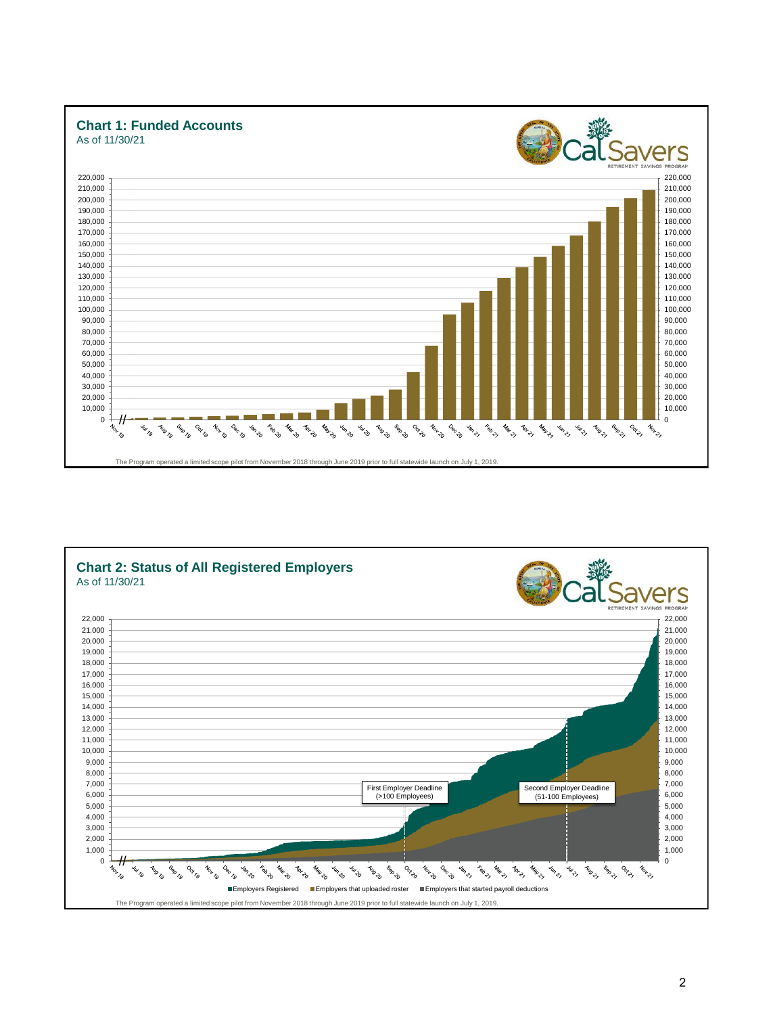

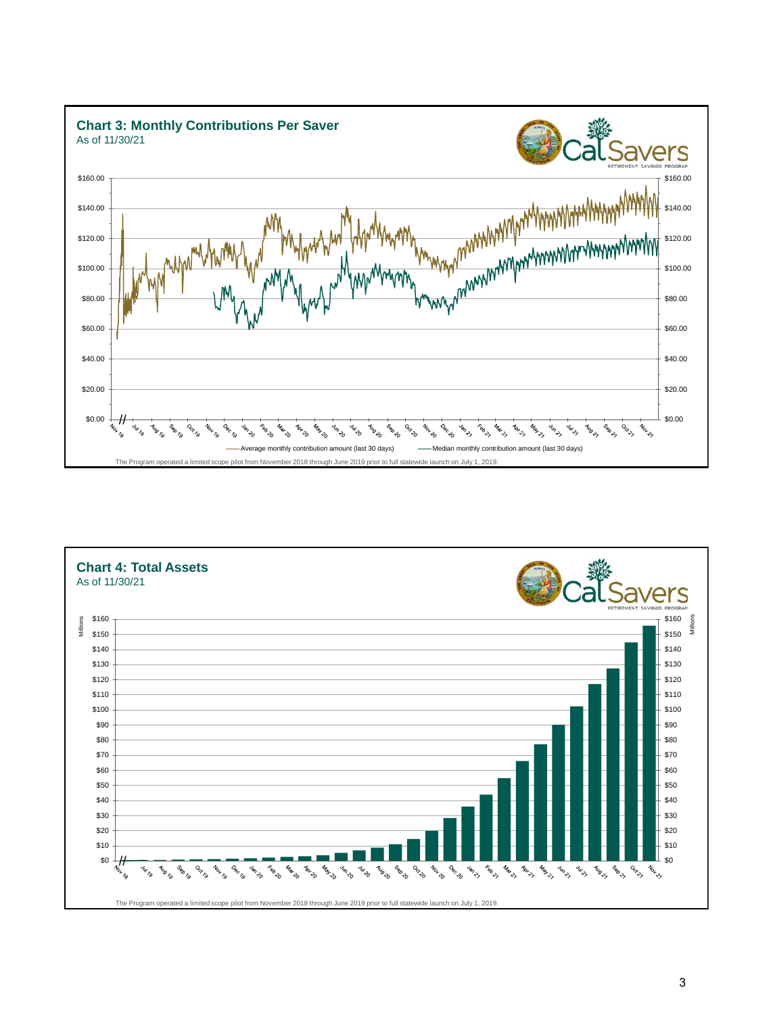